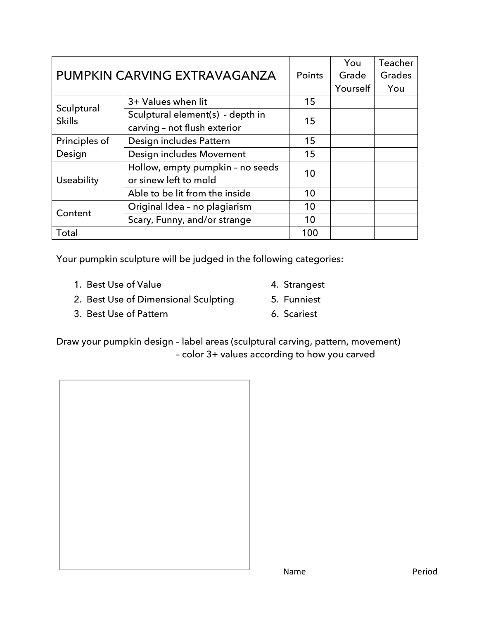| PUMPKIN CARVING EXTRAVAGANZA |                                                           | <b>Points</b> | You      | Teacher |
|------------------------------|-----------------------------------------------------------|---------------|----------|---------|
|                              |                                                           |               | Grade    | Grades  |
|                              |                                                           |               | Yourself | You     |
| Sculptural<br><b>Skills</b>  | 3+ Values when lit                                        | 15            |          |         |
|                              | Sculptural element(s) - depth in                          | 15            |          |         |
|                              | carving - not flush exterior                              |               |          |         |
| Principles of                | Design includes Pattern                                   | 15            |          |         |
| Design                       | Design includes Movement                                  | 15            |          |         |
| Useability                   | Hollow, empty pumpkin - no seeds<br>or sinew left to mold | 10            |          |         |
|                              | Able to be lit from the inside                            | 10            |          |         |
| Content                      | Original Idea - no plagiarism                             | 10            |          |         |
|                              | Scary, Funny, and/or strange                              | 10            |          |         |
| <b>Total</b>                 |                                                           | 100           |          |         |

Your pumpkin sculpture will be judged in the following categories:

1. Best Use of Value

3. Best Use of Pattern

- 4. Strangest 5. Funniest
- 2. Best Use of Dimensional Sculpting
- 6. Scariest

Draw your pumpkin design – label areas (sculptural carving, pattern, movement) – color 3+ values according to how you carved